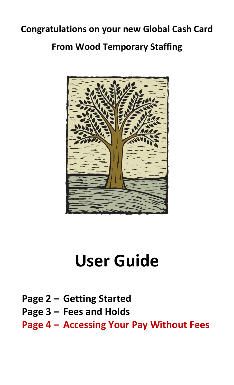## **Congratulations on your new Global Cash Card From Wood Temporary Staffing**



# **User Guide**

- **Page 2 – Getting Started**
- **Page 3 – Fees and Holds**

**Page 4 – Accessing Your Pay Without Fees**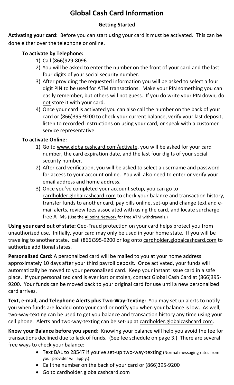### **Global Cash Card Information**

#### **Getting Started**

**Activating your card:** Before you can start using your card it must be activated. This can be done either over the telephone or online.

#### **To activate by Telephone:**

- 1) Call (866)929-8096
- 2) You will be asked to enter the number on the front of your card and the last four digits of your social security number.
- 3) After providing the requested information you will be asked to select a four digit PIN to be used for ATM transactions. Make your PIN something you can easily remember, but others will not guess. If you do write your PIN down, do not store it with your card.
- 4) Once your card is activated you can also call the number on the back of your card or (866)395-9200 to check your current balance, verify your last deposit, listen to recorded instructions on using your card, or speak with a customer service representative.

#### **To activate Online:**

- 1) Go to [www.globalcashcard.com/activate,](http://www.globalcashcard.com/activate) you will be asked for your card number, the card expiration date, and the last four digits of your social security number.
- 2) After card verification, you will be asked to select a username and password for access to your account online. You will also need to enter or verify your email address and home address.
- 3) Once you've completed your account setup, you can go to [cardholder.globalcashcard.com](https://cardholder.globalcashcard.com/) to check your balance and transaction history, transfer funds to another card, pay bills online, set-up and change text and email alerts, review fees associated with using the card, and locate surcharge free ATMs (Use the [Allpoint Network](http://www.allpointnetwork.com/atm-locators.aspx) for free ATM withdrawals.)

**Using your card out of state:** Geo-Fraud protection on your card helps protect you from unauthorized use. Initially, your card may only be used in your home state. If you will be traveling to another state, call (866)395-9200 or log onto [cardholder.globalcashcard.com](http://cardholder.globalcashcard.com/) to authorize additional states.

**Personalized Card:** A personalized card will be mailed to you at your home address approximately 10 days after your third payroll deposit. Once activated, your funds will automatically be moved to your personalized card. Keep your instant issue card in a safe place. If your personalized card is ever lost or stolen, contact Global Cash Card at (866)395- 9200. Your funds can be moved back to your original card for use until a new personalized card arrives.

**Text, e-mail, and Telephone Alerts plus Two-Way-Texting:** You may set up alerts to notify you when funds are loaded onto your card or notify you when your balance is low. As well, two-way-texting can be used to get you balance and transaction history any time using your cell phone. Alerts and two-way-texting can be set-up at [cardholder.globalcashcard.com.](https://cardholder.globalcashcard.com/)

**Know your Balance before you spend**: Knowing your balance will help you avoid the fee for transactions declined due to lack of funds. (See fee schedule on page 3.) There are several free ways to check your balance:

- Text BAL to 28547 if you've set-up two-way-texting (Normal messaging rates from your provider will apply.)
- Call the number on the back of your card or (866)395-9200
- **Go to [cardholder.globalcashcard.com](https://cardholder.globalcashcard.com/)**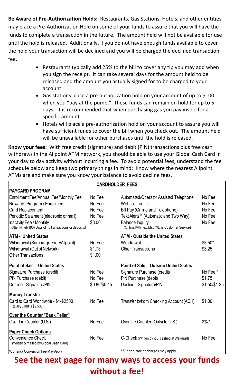**Be Aware of Pre-Authorization Holds:** Restaurants, Gas Stations, Hotels, and other entities may place a Pre-Authorization Hold on some of your funds to assure that you will have the funds to complete a transaction in the future. The amount held will not be available for use until the hold is released. Additionally, if you do not have enough funds available to cover the hold your transaction will be declined and you will be charged the declined transaction fee.

- Restaurants typically add 25% to the bill to cover any tip you may add when you sign the receipt. It can take several days for the amount held to be released and the amount you actually signed for to be charged to your account.
- Gas stations place a pre-authorization hold on your account of up to \$100 when you "pay at the pump." These funds can remain on hold for up to 5 days. It is recommended that when purchasing gas you pay inside for a specific amount.
- Hotels will place a pre-authorization hold on your account to assure you will have sufficient funds to cover the bill when you check out. The amount held will be unavailable for other purchases until the hold is released.

**Know your fees:** With free credit (signature) and debit (PIN) transactions plus free cash withdraws in the Allpoint ATM network, you should be able to use your Global Cash Card in your day to day activity without incurring a fee. To avoid potential fees, understand the fee schedule below and keep two primary things in mind: Know where the nearest Allpoint ATMs are and make sure you know your balance to avoid decline fees.

| <b>CARDHOLDER FEES</b>                                  |               |                                               |               |
|---------------------------------------------------------|---------------|-----------------------------------------------|---------------|
| <b>PAYCARD PROGRAM</b>                                  |               |                                               |               |
| Enrollment Fee/Annual Fee/Monthly Fee                   | No Fee        | Automated/Operator Assisted Telephone         | No Fee        |
| Rewards Program / Enrollment                            | No Fee        | Website Log In                                | No Fee        |
| <b>Card Replacement</b>                                 | No Fee        | Bill Pay (Online and Telephone)               | No Fee        |
| Periodic Statement (electronic or mail)                 | No Fee        | Text Alerts** (Automatic and Two Way)         | No Fee        |
| Inactivity Fee / Monthly                                | \$3.00        | <b>Balance Inquiry</b>                        | No Fee        |
| (After Ninety (90) Days of no transactions or deposits) |               | (Online/IVR/Text Msg**/Live Customer Service) |               |
| <b>ATM - United States</b>                              |               | <b>ATM - Outside the United States</b>        |               |
| Withdrawal (Surcharge Free/Allpoint)                    | No Fee        | Withdrawal                                    | $$3.50*$      |
| Withdrawal (Out of Network)                             | \$1.75        | <b>Other Transactions</b>                     | \$3.25        |
| <b>Other Transactions</b>                               | \$1.00        |                                               |               |
| <b>Point of Sale - United States</b>                    |               | <b>Point of Sale – Outside United States</b>  |               |
| Signature Purchase (credit)                             | No Fee        | Signature Purchase (credit)                   | No Fee *      |
| PIN Purchase (debit)                                    | No Fee        | PIN Purchase (debit)                          | \$1.75        |
| Decline - Signature/PIN                                 | \$0.80/\$0.45 | Decline - Signature/PIN                       | \$1.50/\$1.25 |
| <b>Money Transfer</b>                                   |               |                                               |               |
| Card to Card Worldwide - \$1-\$2500                     | No Fee        | Transfer to/from Checking Account (ACH)       | \$1.00        |
| (Daily Limit is \$2,500)                                |               |                                               |               |
| <b>Over the Counter "Bank Teller"</b>                   |               |                                               |               |
| Over the Counter (U.S.)                                 | No Fee        | Over the Counter (Outside U.S.)               | $2\% *$       |
| <b>Paper Check Options</b>                              |               |                                               |               |
| <b>Convenience Check</b>                                | No Fee        | G-Check (Written by you, cashed at Wal-mart)  | No Fee        |
| (Written & mailed by Global Cash Card)                  |               |                                               |               |
| *Currency Conversion Fee May Apply                      |               | **Phone carrier charges may apply             |               |

**See the next page for many ways to access your funds without a fee!**